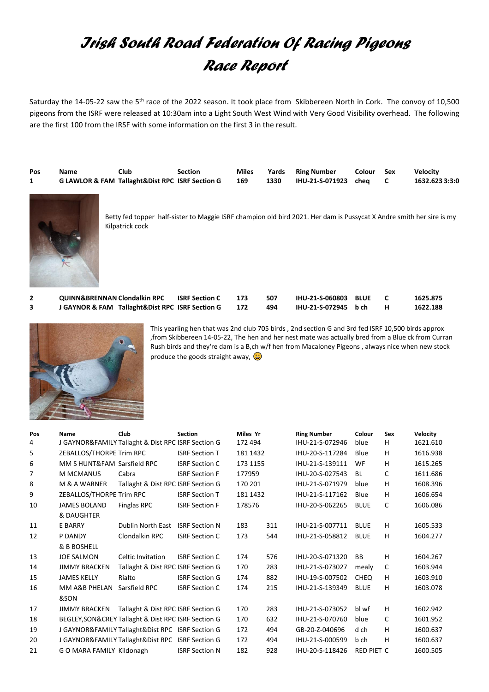## *Irish South Road Federation Of Racing Pigeons Race Report*

Saturday the 14-05-22 saw the 5<sup>th</sup> race of the 2022 season. It took place from Skibbereen North in Cork. The convoy of 10,500 pigeons from the ISRF were released at 10:30am into a Light South West Wind with Very Good Visibility overhead. The following are the first 100 from the IRSF with some information on the first 3 in the result.

| Pos | Name                                            | Club | Section | <b>Miles</b> |      | Yards Ring Number    | Colour Sex | <b>Velocity</b> |
|-----|-------------------------------------------------|------|---------|--------------|------|----------------------|------------|-----------------|
|     | G LAWLOR & FAM Tallaght&Dist RPC ISRF Section G |      |         | 169          | 1330 | IHU-21-S-071923 cheq |            | 1632.623 3:3:0  |



Betty fed topper half-sister to Maggie ISRF champion old bird 2021. Her dam is Pussycat X Andre smith her sire is my Kilpatrick cock

**2 QUINN&BRENNAN Clondalkin RPC ISRF Section C 173 507 IHU-21-S-060803 BLUE C 1625.875 3 J GAYNOR & FAM Tallaght&Dist RPC ISRF Section G 172 494 IHU-21-S-072945 b ch H 1622.188**



This yearling hen that was 2nd club 705 birds , 2nd section G and 3rd fed ISRF 10,500 birds approx ,from Skibbereen 14-05-22, The hen and her nest mate was actually bred from a Blue ck from Curran Rush birds and they're dam is a B,ch w/f hen from Macaloney Pigeons , always nice when new stock produce the goods straight away,  $\bigcirc$ 

| Pos | <b>Name</b>                 | Club                                                 | <b>Section</b>        | Miles Yr |     | <b>Ring Number</b> | Colour            | <b>Sex</b> | Velocity |
|-----|-----------------------------|------------------------------------------------------|-----------------------|----------|-----|--------------------|-------------------|------------|----------|
| 4   |                             | J GAYNOR&FAMILY Tallaght & Dist RPC ISRF Section G   |                       | 172 494  |     | IHU-21-S-072946    | blue              | H          | 1621.610 |
| 5   | ZEBALLOS/THORPE Trim RPC    |                                                      | <b>ISRF Section T</b> | 181 1432 |     | IHU-20-S-117284    | Blue              | H          | 1616.938 |
| 6   | MM S HUNT&FAM Sarsfield RPC |                                                      | <b>ISRF Section C</b> | 173 1155 |     | IHU-21-S-139111    | WF                | H          | 1615.265 |
| 7   | <b>M MCMANUS</b>            | Cabra                                                | <b>ISRF Section F</b> | 177959   |     | IHU-20-S-027543    | <b>BL</b>         | C          | 1611.686 |
| 8   | M & A WARNER                | Tallaght & Dist RPC ISRF Section G                   |                       | 170 201  |     | IHU-21-S-071979    | blue              | H          | 1608.396 |
| 9   | ZEBALLOS/THORPE Trim RPC    |                                                      | <b>ISRF Section T</b> | 181 1432 |     | IHU-21-S-117162    | Blue              | H          | 1606.654 |
| 10  | <b>JAMES BOLAND</b>         | Finglas RPC                                          | <b>ISRF Section F</b> | 178576   |     | IHU-20-S-062265    | <b>BLUE</b>       | C          | 1606.086 |
|     | & DAUGHTER                  |                                                      |                       |          |     |                    |                   |            |          |
| 11  | <b>E BARRY</b>              | <b>Dublin North East</b>                             | <b>ISRF Section N</b> | 183      | 311 | IHU-21-S-007711    | <b>BLUE</b>       | H          | 1605.533 |
| 12  | P DANDY                     | Clondalkin RPC                                       | <b>ISRF Section C</b> | 173      | 544 | IHU-21-S-058812    | <b>BLUE</b>       | H          | 1604.277 |
|     | & B BOSHELL                 |                                                      |                       |          |     |                    |                   |            |          |
| 13  | <b>JOE SALMON</b>           | <b>Celtic Invitation</b>                             | <b>ISRF Section C</b> | 174      | 576 | IHU-20-S-071320    | <b>BB</b>         | H          | 1604.267 |
| 14  | <b>JIMMY BRACKEN</b>        | Tallaght & Dist RPC ISRF Section G                   |                       | 170      | 283 | IHU-21-S-073027    | mealy             | C          | 1603.944 |
| 15  | <b>JAMES KELLY</b>          | Rialto                                               | <b>ISRF Section G</b> | 174      | 882 | IHU-19-S-007502    | <b>CHEQ</b>       | H          | 1603.910 |
| 16  | MM A&B PHELAN               | Sarsfield RPC                                        | <b>ISRF Section C</b> | 174      | 215 | IHU-21-S-139349    | <b>BLUE</b>       | н          | 1603.078 |
|     | &SON                        |                                                      |                       |          |     |                    |                   |            |          |
| 17  | <b>JIMMY BRACKEN</b>        | Tallaght & Dist RPC ISRF Section G                   |                       | 170      | 283 | IHU-21-S-073052    | bl wf             | H          | 1602.942 |
| 18  |                             | BEGLEY, SON& CREY Tallaght & Dist RPC ISRF Section G |                       | 170      | 632 | IHU-21-S-070760    | blue              | C          | 1601.952 |
| 19  |                             | J GAYNOR&FAMILY Tallaght&Dist RPC ISRF Section G     |                       | 172      | 494 | GB-20-Z-040696     | d ch              | H          | 1600.637 |
| 20  |                             | J GAYNOR&FAMILY Tallaght&Dist RPC ISRF Section G     |                       | 172      | 494 | IHU-21-S-000599    | b ch              | H          | 1600.637 |
| 21  | G O MARA FAMILY Kildonagh   |                                                      | <b>ISRF Section N</b> | 182      | 928 | IHU-20-S-118426    | <b>RED PIET C</b> |            | 1600.505 |
|     |                             |                                                      |                       |          |     |                    |                   |            |          |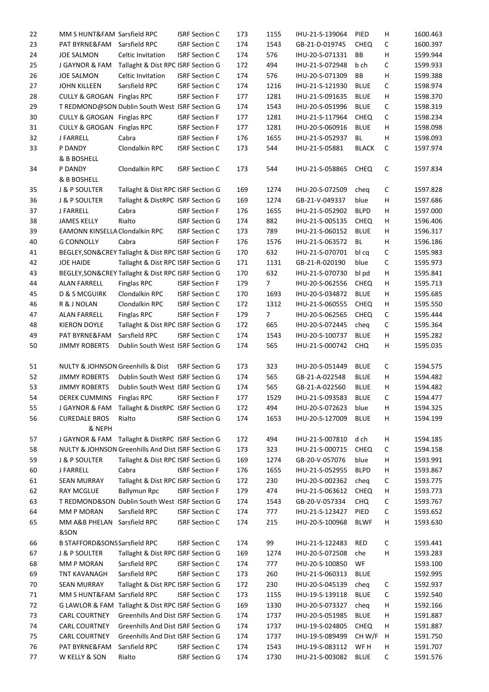| 22 | MM S HUNT&FAM Sarsfield RPC       |                                                      | <b>ISRF Section C</b> | 173 | 1155           | IHU-21-S-139064 | PIED         | H            | 1600.463 |
|----|-----------------------------------|------------------------------------------------------|-----------------------|-----|----------------|-----------------|--------------|--------------|----------|
| 23 | PAT BYRNE&FAM                     | Sarsfield RPC                                        | <b>ISRF Section C</b> | 174 | 1543           | GB-21-D-019745  | <b>CHEQ</b>  | С            | 1600.397 |
| 24 | <b>JOE SALMON</b>                 | Celtic Invitation                                    | <b>ISRF Section C</b> | 174 | 576            | IHU-20-S-071331 | BB           | Н            | 1599.944 |
| 25 | J GAYNOR & FAM                    | Tallaght & Dist RPC ISRF Section G                   |                       | 172 | 494            | IHU-21-S-072948 | b ch         | С            | 1599.933 |
| 26 | <b>JOE SALMON</b>                 | Celtic Invitation                                    | <b>ISRF Section C</b> | 174 | 576            | IHU-20-S-071309 | BB           | Н            | 1599.388 |
| 27 | <b>JOHN KILLEEN</b>               | Sarsfield RPC                                        | <b>ISRF Section C</b> | 174 | 1216           | IHU-21-S-121930 | <b>BLUE</b>  | C            | 1598.974 |
| 28 | CULLY & GROGAN Finglas RPC        |                                                      | <b>ISRF Section F</b> | 177 | 1281           | IHU-21-S-091635 | <b>BLUE</b>  | н            | 1598.370 |
| 29 |                                   | T REDMOND@SON Dublin South West ISRF Section G       |                       | 174 | 1543           | IHU-20-S-051996 | <b>BLUE</b>  | С            | 1598.319 |
| 30 | CULLY & GROGAN Finglas RPC        |                                                      | <b>ISRF Section F</b> | 177 | 1281           | IHU-21-S-117964 | <b>CHEQ</b>  | С            | 1598.234 |
| 31 | CULLY & GROGAN Finglas RPC        |                                                      | <b>ISRF Section F</b> | 177 | 1281           | IHU-20-S-060916 | <b>BLUE</b>  | $\mathsf{H}$ | 1598.098 |
| 32 | J FARRELL                         | Cabra                                                | <b>ISRF Section F</b> | 176 | 1655           | IHU-21-S-052937 | BL           | H            | 1598.093 |
| 33 | P DANDY                           | Clondalkin RPC                                       | <b>ISRF Section C</b> | 173 | 544            | IHU-21-S-05881  | <b>BLACK</b> | $\mathsf{C}$ | 1597.974 |
|    | & B BOSHELL                       |                                                      |                       |     |                |                 |              |              |          |
| 34 | P DANDY                           | Clondalkin RPC                                       | <b>ISRF Section C</b> | 173 | 544            | IHU-21-S-058865 | <b>CHEQ</b>  | C            | 1597.834 |
|    | & B BOSHELL                       |                                                      |                       |     |                |                 |              |              |          |
| 35 | <b>J &amp; P SOULTER</b>          | Tallaght & Dist RPC ISRF Section G                   |                       | 169 | 1274           | IHU-20-S-072509 | cheq         | С            | 1597.828 |
| 36 | <b>J &amp; P SOULTER</b>          | Tallaght & DistRPC ISRF Section G                    |                       | 169 | 1274           | GB-21-V-049337  | blue         | н            | 1597.686 |
| 37 | J FARRELL                         | Cabra                                                | <b>ISRF Section F</b> | 176 | 1655           | IHU-21-S-052902 | <b>BLPD</b>  | H            | 1597.000 |
| 38 | <b>JAMES KELLY</b>                | Rialto                                               | <b>ISRF Section G</b> | 174 | 882            | IHU-21-S-005135 | <b>CHEQ</b>  | н            | 1596.406 |
| 39 | EAMONN KINSELLA Clondalkin RPC    |                                                      | <b>ISRF Section C</b> | 173 | 789            | IHU-21-S-060152 | <b>BLUE</b>  | н            | 1596.317 |
| 40 | <b>G CONNOLLY</b>                 | Cabra                                                | <b>ISRF Section F</b> | 176 | 1576           | IHU-21-S-063572 | BL           | $\sf H$      | 1596.186 |
|    |                                   |                                                      |                       |     |                |                 |              |              |          |
| 41 |                                   | BEGLEY, SON& CREY Tallaght & Dist RPC ISRF Section G |                       | 170 | 632            | IHU-21-S-070701 | bl cq        | С            | 1595.983 |
| 42 | <b>JOE HAIDE</b>                  | Tallaght & Dist RPC ISRF Section G                   |                       | 171 | 1131           | GB-21-R-020190  | blue         | С            | 1595.973 |
| 43 |                                   | BEGLEY, SON& CREY Tallaght & Dist RPC ISRF Section G |                       | 170 | 632            | IHU-21-S-070730 | bl pd        | $\mathsf{H}$ | 1595.841 |
| 44 | <b>ALAN FARRELL</b>               | Finglas RPC                                          | <b>ISRF Section F</b> | 179 | 7              | IHU-20-S-062556 | <b>CHEQ</b>  | н            | 1595.713 |
| 45 | <b>D &amp; S MCGUIRK</b>          | Clondalkin RPC                                       | <b>ISRF Section C</b> | 170 | 1693           | IHU-20-S-034872 | <b>BLUE</b>  | Н            | 1595.685 |
| 46 | R & J NOLAN                       | Clondalkin RPC                                       | <b>ISRF Section C</b> | 172 | 1312           | IHU-21-S-060555 | <b>CHEQ</b>  | н            | 1595.550 |
| 47 | <b>ALAN FARRELL</b>               | <b>Finglas RPC</b>                                   | <b>ISRF Section F</b> | 179 | $\overline{7}$ | IHU-20-S-062565 | <b>CHEQ</b>  | С            | 1595.444 |
| 48 | <b>KIERON DOYLE</b>               | Tallaght & Dist RPC ISRF Section G                   |                       | 172 | 665            | IHU-20-S-072445 | cheq         | C            | 1595.364 |
| 49 | PAT BYRNE&FAM                     | Sarsfield RPC                                        | <b>ISRF Section C</b> | 174 | 1543           | IHU-20-S-100737 | <b>BLUE</b>  | н            | 1595.282 |
| 50 | <b>JIMMY ROBERTS</b>              | Dublin South West ISRF Section G                     |                       | 174 | 565            | IHU-21-S-000742 | <b>CHQ</b>   | Н            | 1595.035 |
|    |                                   |                                                      |                       |     |                |                 |              |              |          |
| 51 | NULTY & JOHNSON Greenhills & Dist |                                                      | <b>ISRF Section G</b> | 173 | 323            | IHU-20-S-051449 | <b>BLUE</b>  | $\mathsf C$  | 1594.575 |
| 52 | <b>JIMMY ROBERTS</b>              | Dublin South West ISRF Section G                     |                       | 174 | 565            | GB-21-A-022548  | <b>BLUE</b>  | н            | 1594.482 |
| 53 | <b>JIMMY ROBERTS</b>              | Dublin South West ISRF Section G                     |                       | 174 | 565            | GB-21-A-022560  | <b>BLUE</b>  | H            | 1594.482 |
| 54 | DEREK CUMMINS Finglas RPC         |                                                      | <b>ISRF Section F</b> | 177 | 1529           | IHU-21-S-093583 | <b>BLUE</b>  | C            | 1594.477 |
| 55 |                                   | J GAYNOR & FAM Tallaght & DistRPC ISRF Section G     |                       | 172 | 494            | IHU-20-S-072623 | blue         | H            | 1594.325 |
| 56 | <b>CUREDALE BROS</b>              | Rialto                                               | <b>ISRF Section G</b> | 174 | 1653           | IHU-20-S-127009 | <b>BLUE</b>  | н            | 1594.199 |
|    | & NEPH                            |                                                      |                       |     |                |                 |              |              |          |
| 57 | J GAYNOR & FAM                    | Tallaght & DistRPC ISRF Section G                    |                       | 172 | 494            | IHU-21-S-007810 | d ch         | н            | 1594.185 |
| 58 |                                   | NULTY & JOHNSON Greenhills And Dist ISRF Section G   |                       | 173 | 323            | IHU-21-S-000715 | <b>CHEQ</b>  | С            | 1594.158 |
| 59 | <b>J &amp; P SOULTER</b>          | Tallaght & Dist RPC ISRF Section G                   |                       | 169 | 1274           | GB-20-V-057076  | blue         | н            | 1593.991 |
| 60 | J FARRELL                         | Cabra                                                | <b>ISRF Section F</b> | 176 | 1655           | IHU-21-S-052955 | <b>BLPD</b>  | н            | 1593.867 |
| 61 | <b>SEAN MURRAY</b>                | Tallaght & Dist RPC ISRF Section G                   |                       | 172 | 230            | IHU-20-S-002362 | cheq         | С            | 1593.775 |
| 62 | <b>RAY MCGLUE</b>                 | <b>Ballymun Rpc</b>                                  | <b>ISRF Section F</b> | 179 | 474            | IHU-21-S-063612 | <b>CHEQ</b>  | Н            | 1593.773 |
| 63 |                                   | T REDMOND&SON Dublin South West ISRF Section G       |                       | 174 | 1543           | GB-20-V-057334  | CHQ          | С            | 1593.767 |
| 64 | MM P MORAN                        | Sarsfield RPC                                        | <b>ISRF Section C</b> | 174 | 777            | IHU-21-S-123427 | PIED         | С            | 1593.652 |
| 65 | MM A&B PHELAN Sarsfield RPC       |                                                      | <b>ISRF Section C</b> | 174 | 215            | IHU-20-S-100968 | <b>BLWF</b>  | $\mathsf{H}$ | 1593.630 |
|    | &SON                              |                                                      |                       |     |                |                 |              |              |          |
| 66 | B STAFFORD&SONSSarsfield RPC      |                                                      | <b>ISRF Section C</b> | 174 | 99             | IHU-21-S-122483 | <b>RED</b>   | $\mathsf C$  | 1593.441 |
| 67 | <b>J &amp; P SOULTER</b>          | Tallaght & Dist RPC ISRF Section G                   |                       | 169 | 1274           | IHU-20-S-072508 | che          | H            | 1593.283 |
| 68 | MM P MORAN                        | Sarsfield RPC                                        | <b>ISRF Section C</b> | 174 | 777            | IHU-20-S-100850 | WF           |              | 1593.100 |
| 69 | <b>TNT KAVANAGH</b>               | Sarsfield RPC                                        | <b>ISRF Section C</b> | 173 | 260            | IHU-21-S-060313 | <b>BLUE</b>  |              | 1592.995 |
| 70 | <b>SEAN MURRAY</b>                | Tallaght & Dist RPC ISRF Section G                   |                       | 172 | 230            | IHU-20-S-045139 | cheq         | С            | 1592.937 |
| 71 | MM S HUNT&FAM Sarsfield RPC       |                                                      | <b>ISRF Section C</b> | 173 | 1155           | IHU-19-S-139118 | <b>BLUE</b>  | С            | 1592.540 |
| 72 |                                   | G LAWLOR & FAM Tallaght & Dist RPC ISRF Section G    |                       | 169 | 1330           | IHU-20-S-073327 | cheq         | н            | 1592.166 |
| 73 | CARL COURTNEY                     | Greenhills And Dist ISRF Section G                   |                       | 174 | 1737           | IHU-20-S-051985 | <b>BLUE</b>  | н            | 1591.887 |
| 74 | <b>CARL COURTNEY</b>              | Greenhills And Dist ISRF Section G                   |                       | 174 | 1737           | IHU-19-S-024805 | <b>CHEQ</b>  | Н            | 1591.887 |
| 75 | CARL COURTNEY                     | Greenhills And Dist ISRF Section G                   |                       | 174 | 1737           | IHU-19-S-089499 | CH W/F       | H            | 1591.750 |
| 76 | PAT BYRNE&FAM                     | Sarsfield RPC                                        | <b>ISRF Section C</b> | 174 | 1543           | IHU-19-S-083112 | WF H         | н            | 1591.707 |
| 77 | W KELLY & SON                     | Rialto                                               | <b>ISRF Section G</b> | 174 | 1730           | IHU-21-S-003082 | <b>BLUE</b>  | C            | 1591.576 |
|    |                                   |                                                      |                       |     |                |                 |              |              |          |